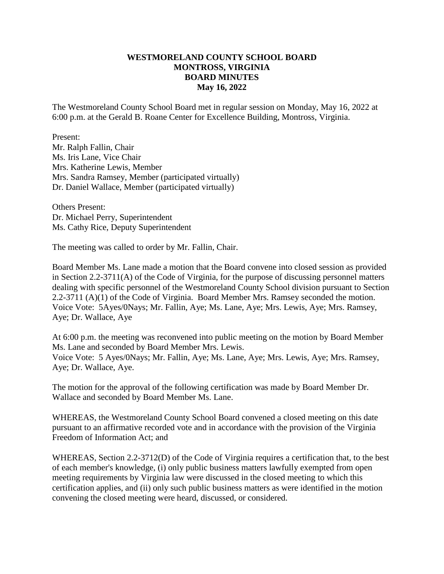#### **WESTMORELAND COUNTY SCHOOL BOARD MONTROSS, VIRGINIA BOARD MINUTES May 16, 2022**

The Westmoreland County School Board met in regular session on Monday, May 16, 2022 at 6:00 p.m. at the Gerald B. Roane Center for Excellence Building, Montross, Virginia.

Present: Mr. Ralph Fallin, Chair Ms. Iris Lane, Vice Chair Mrs. Katherine Lewis, Member Mrs. Sandra Ramsey, Member (participated virtually) Dr. Daniel Wallace, Member (participated virtually)

Others Present: Dr. Michael Perry, Superintendent Ms. Cathy Rice, Deputy Superintendent

The meeting was called to order by Mr. Fallin, Chair.

Board Member Ms. Lane made a motion that the Board convene into closed session as provided in Section 2.2-3711(A) of the Code of Virginia, for the purpose of discussing personnel matters dealing with specific personnel of the Westmoreland County School division pursuant to Section 2.2-3711 (A)(1) of the Code of Virginia. Board Member Mrs. Ramsey seconded the motion. Voice Vote: 5Ayes/0Nays; Mr. Fallin, Aye; Ms. Lane, Aye; Mrs. Lewis, Aye; Mrs. Ramsey, Aye; Dr. Wallace, Aye

At 6:00 p.m. the meeting was reconvened into public meeting on the motion by Board Member Ms. Lane and seconded by Board Member Mrs. Lewis. Voice Vote: 5 Ayes/0Nays; Mr. Fallin, Aye; Ms. Lane, Aye; Mrs. Lewis, Aye; Mrs. Ramsey, Aye; Dr. Wallace, Aye.

The motion for the approval of the following certification was made by Board Member Dr. Wallace and seconded by Board Member Ms. Lane.

WHEREAS, the Westmoreland County School Board convened a closed meeting on this date pursuant to an affirmative recorded vote and in accordance with the provision of the Virginia Freedom of Information Act; and

WHEREAS, Section 2.2-3712(D) of the Code of Virginia requires a certification that, to the best of each member's knowledge, (i) only public business matters lawfully exempted from open meeting requirements by Virginia law were discussed in the closed meeting to which this certification applies, and (ii) only such public business matters as were identified in the motion convening the closed meeting were heard, discussed, or considered.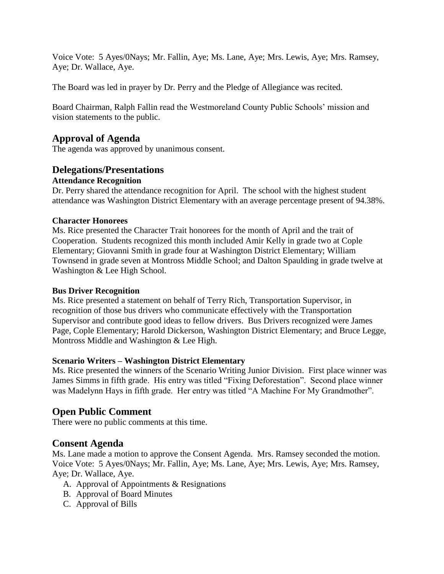Voice Vote: 5 Ayes/0Nays; Mr. Fallin, Aye; Ms. Lane, Aye; Mrs. Lewis, Aye; Mrs. Ramsey, Aye; Dr. Wallace, Aye.

The Board was led in prayer by Dr. Perry and the Pledge of Allegiance was recited.

Board Chairman, Ralph Fallin read the Westmoreland County Public Schools' mission and vision statements to the public.

# **Approval of Agenda**

The agenda was approved by unanimous consent.

## **Delegations/Presentations**

### **Attendance Recognition**

Dr. Perry shared the attendance recognition for April. The school with the highest student attendance was Washington District Elementary with an average percentage present of 94.38%.

### **Character Honorees**

Ms. Rice presented the Character Trait honorees for the month of April and the trait of Cooperation. Students recognized this month included Amir Kelly in grade two at Cople Elementary; Giovanni Smith in grade four at Washington District Elementary; William Townsend in grade seven at Montross Middle School; and Dalton Spaulding in grade twelve at Washington & Lee High School.

### **Bus Driver Recognition**

Ms. Rice presented a statement on behalf of Terry Rich, Transportation Supervisor, in recognition of those bus drivers who communicate effectively with the Transportation Supervisor and contribute good ideas to fellow drivers. Bus Drivers recognized were James Page, Cople Elementary; Harold Dickerson, Washington District Elementary; and Bruce Legge, Montross Middle and Washington & Lee High.

### **Scenario Writers – Washington District Elementary**

Ms. Rice presented the winners of the Scenario Writing Junior Division. First place winner was James Simms in fifth grade. His entry was titled "Fixing Deforestation". Second place winner was Madelynn Hays in fifth grade. Her entry was titled "A Machine For My Grandmother".

## **Open Public Comment**

There were no public comments at this time.

## **Consent Agenda**

Ms. Lane made a motion to approve the Consent Agenda. Mrs. Ramsey seconded the motion. Voice Vote: 5 Ayes/0Nays; Mr. Fallin, Aye; Ms. Lane, Aye; Mrs. Lewis, Aye; Mrs. Ramsey, Aye; Dr. Wallace, Aye.

- A. Approval of Appointments & Resignations
- B. Approval of Board Minutes
- C. Approval of Bills